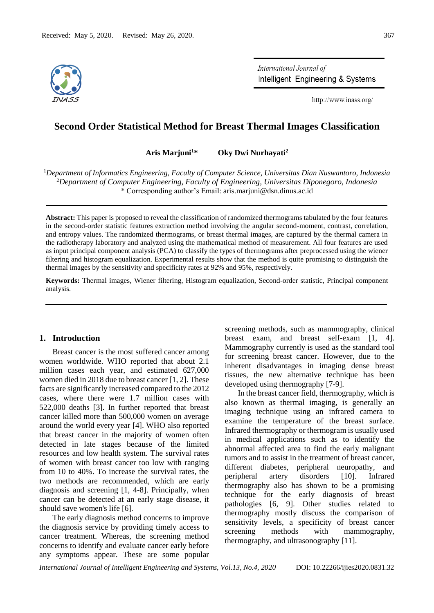

International Journal of Intelligent Engineering & Systems

http://www.inass.org/

# **Second Order Statistical Method for Breast Thermal Images Classification**

**Aris Marjuni<sup>1</sup>\* Oky Dwi Nurhayati<sup>2</sup>** 

<sup>1</sup>*Department of Informatics Engineering, Faculty of Computer Science, Universitas Dian Nuswantoro, Indonesia*  <sup>2</sup>*Department of Computer Engineering, Faculty of Engineering, Universitas Diponegoro, Indonesia* \* Corresponding author's Email: aris.marjuni@dsn.dinus.ac.id

**Abstract:** This paper is proposed to reveal the classification of randomized thermograms tabulated by the four features in the second-order statistic features extraction method involving the angular second-moment, contrast, correlation, and entropy values. The randomized thermograms, or breast thermal images, are captured by the thermal camera in the radiotherapy laboratory and analyzed using the mathematical method of measurement. All four features are used as input principal component analysis (PCA) to classify the types of thermograms after preprocessed using the wiener filtering and histogram equalization. Experimental results show that the method is quite promising to distinguish the thermal images by the sensitivity and specificity rates at 92% and 95%, respectively.

**Keywords:** Thermal images, Wiener filtering, Histogram equalization, Second-order statistic, Principal component analysis.

# **1. Introduction**

Breast cancer is the most suffered cancer among women worldwide. WHO reported that about 2.1 million cases each year, and estimated 627,000 women died in 2018 due to breast cancer [1, 2]. These facts are significantly increased compared to the 2012 cases, where there were 1.7 million cases with 522,000 deaths [3]. In further reported that breast cancer killed more than 500,000 women on average around the world every year [4]. WHO also reported that breast cancer in the majority of women often detected in late stages because of the limited resources and low health system. The survival rates of women with breast cancer too low with ranging from 10 to 40%. To increase the survival rates, the two methods are recommended, which are early diagnosis and screening [1, 4-8]. Principally, when cancer can be detected at an early stage disease, it should save women's life [6].

The early diagnosis method concerns to improve the diagnosis service by providing timely access to cancer treatment. Whereas, the screening method concerns to identify and evaluate cancer early before any symptoms appear. These are some popular

screening methods, such as mammography, clinical breast exam, and breast self-exam [1, 4]. Mammography currently is used as the standard tool for screening breast cancer. However, due to the inherent disadvantages in imaging dense breast tissues, the new alternative technique has been developed using thermography [7-9].

In the breast cancer field, thermography, which is also known as thermal imaging, is generally an imaging technique using an infrared camera to examine the temperature of the breast surface. Infrared thermography or thermogram is usually used in medical applications such as to identify the abnormal affected area to find the early malignant tumors and to assist in the treatment of breast cancer, different diabetes, peripheral neuropathy, and peripheral artery disorders [10]. Infrared thermography also has shown to be a promising technique for the early diagnosis of breast pathologies [6, 9]. Other studies related to thermography mostly discuss the comparison of sensitivity levels, a specificity of breast cancer screening methods with mammography, thermography, and ultrasonography [11].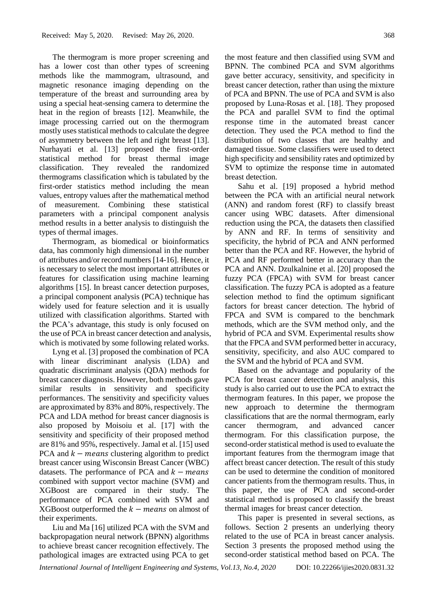The thermogram is more proper screening and has a lower cost than other types of screening methods like the mammogram, ultrasound, and magnetic resonance imaging depending on the temperature of the breast and surrounding area by using a special heat-sensing camera to determine the heat in the region of breasts [12]. Meanwhile, the image processing carried out on the thermogram mostly uses statistical methods to calculate the degree of asymmetry between the left and right breast [13]. Nurhayati et al. [13] proposed the first-order statistical method for breast thermal image classification. They revealed the randomized thermograms classification which is tabulated by the first-order statistics method including the mean values, entropy values after the mathematical method of measurement. Combining these statistical parameters with a principal component analysis method results in a better analysis to distinguish the types of thermal images.

Thermogram, as biomedical or bioinformatics data, has commonly high dimensional in the number of attributes and/or record numbers [14-16]. Hence, it is necessary to select the most important attributes or features for classification using machine learning algorithms [15]. In breast cancer detection purposes, a principal component analysis (PCA) technique has widely used for feature selection and it is usually utilized with classification algorithms. Started with the PCA's advantage, this study is only focused on the use of PCA in breast cancer detection and analysis, which is motivated by some following related works.

Lyng et al. [3] proposed the combination of PCA with linear discriminant analysis (LDA) and quadratic discriminant analysis (QDA) methods for breast cancer diagnosis. However, both methods gave similar results in sensitivity and specificity performances. The sensitivity and specificity values are approximated by 83% and 80%, respectively. The PCA and LDA method for breast cancer diagnosis is also proposed by Moisoiu et al. [17] with the sensitivity and specificity of their proposed method are 81% and 95%, respectively. Jamal et al. [15] used PCA and  $k -$  means clustering algorithm to predict breast cancer using Wisconsin Breast Cancer (WBC) datasets. The performance of PCA and  $k - means$ combined with support vector machine (SVM) and XGBoost are compared in their study. The performance of PCA combined with SVM and XGBoost outperformed the  $k - \text{means}$  on almost of their experiments.

Liu and Ma [16] utilized PCA with the SVM and backpropagation neural network (BPNN) algorithms to achieve breast cancer recognition effectively. The pathological images are extracted using PCA to get

the most feature and then classified using SVM and BPNN. The combined PCA and SVM algorithms gave better accuracy, sensitivity, and specificity in breast cancer detection, rather than using the mixture of PCA and BPNN. The use of PCA and SVM is also proposed by Luna-Rosas et al. [18]. They proposed the PCA and parallel SVM to find the optimal response time in the automated breast cancer detection. They used the PCA method to find the distribution of two classes that are healthy and damaged tissue. Some classifiers were used to detect high specificity and sensibility rates and optimized by SVM to optimize the response time in automated breast detection.

Sahu et al. [19] proposed a hybrid method between the PCA with an artificial neural network (ANN) and random forest (RF) to classify breast cancer using WBC datasets. After dimensional reduction using the PCA, the datasets then classified by ANN and RF. In terms of sensitivity and specificity, the hybrid of PCA and ANN performed better than the PCA and RF. However, the hybrid of PCA and RF performed better in accuracy than the PCA and ANN. Dzulkalnine et al. [20] proposed the fuzzy PCA (FPCA) with SVM for breast cancer classification. The fuzzy PCA is adopted as a feature selection method to find the optimum significant factors for breast cancer detection. The hybrid of FPCA and SVM is compared to the benchmark methods, which are the SVM method only, and the hybrid of PCA and SVM. Experimental results show that the FPCA and SVM performed better in accuracy, sensitivity, specificity, and also AUC compared to the SVM and the hybrid of PCA and SVM.

Based on the advantage and popularity of the PCA for breast cancer detection and analysis, this study is also carried out to use the PCA to extract the thermogram features. In this paper, we propose the new approach to determine the thermogram classifications that are the normal thermogram, early cancer thermogram, and advanced cancer thermogram. For this classification purpose, the second-order statistical method is used to evaluate the important features from the thermogram image that affect breast cancer detection. The result of this study can be used to determine the condition of monitored cancer patients from the thermogram results. Thus, in this paper, the use of PCA and second-order statistical method is proposed to classify the breast thermal images for breast cancer detection.

This paper is presented in several sections, as follows. Section 2 presents an underlying theory related to the use of PCA in breast cancer analysis. Section 3 presents the proposed method using the second-order statistical method based on PCA. The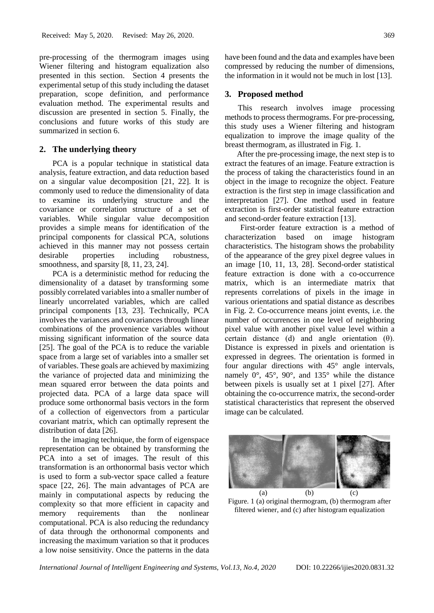pre-processing of the thermogram images using Wiener filtering and histogram equalization also presented in this section. Section 4 presents the experimental setup of this study including the dataset preparation, scope definition, and performance evaluation method. The experimental results and discussion are presented in section 5. Finally, the conclusions and future works of this study are summarized in section 6.

### **2. The underlying theory**

PCA is a popular technique in statistical data analysis, feature extraction, and data reduction based on a singular value decomposition [21, 22]. It is commonly used to reduce the dimensionality of data to examine its underlying structure and the covariance or correlation structure of a set of variables. While singular value decomposition provides a simple means for identification of the principal components for classical PCA, solutions achieved in this manner may not possess certain desirable properties including robustness, smoothness, and sparsity [8, 11, 23, 24].

PCA is a deterministic method for reducing the dimensionality of a dataset by transforming some possibly correlated variables into a smaller number of linearly uncorrelated variables, which are called principal components [13, 23]. Technically, PCA involves the variances and covariances through linear combinations of the provenience variables without missing significant information of the source data [25]. The goal of the PCA is to reduce the variable space from a large set of variables into a smaller set of variables. These goals are achieved by maximizing the variance of projected data and minimizing the mean squared error between the data points and projected data. PCA of a large data space will produce some orthonormal basis vectors in the form of a collection of eigenvectors from a particular covariant matrix, which can optimally represent the distribution of data [26].

In the imaging technique, the form of eigenspace representation can be obtained by transforming the PCA into a set of images. The result of this transformation is an orthonormal basis vector which is used to form a sub-vector space called a feature space [22, 26]. The main advantages of PCA are mainly in computational aspects by reducing the complexity so that more efficient in capacity and memory requirements than the nonlinear computational. PCA is also reducing the redundancy of data through the orthonormal components and increasing the maximum variation so that it produces a low noise sensitivity. Once the patterns in the data have been found and the data and examples have been compressed by reducing the number of dimensions, the information in it would not be much in lost [13].

#### **3. Proposed method**

This research involves image processing methods to process thermograms. For pre-processing, this study uses a Wiener filtering and histogram equalization to improve the image quality of the breast thermogram, as illustrated in Fig. 1.

After the pre-processing image, the next step is to extract the features of an image. Feature extraction is the process of taking the characteristics found in an object in the image to recognize the object. Feature extraction is the first step in image classification and interpretation [27]. One method used in feature extraction is first-order statistical feature extraction and second-order feature extraction [13].

First-order feature extraction is a method of characterization based on image histogram characteristics. The histogram shows the probability of the appearance of the grey pixel degree values in an image [10, 11, 13, 28]. Second-order statistical feature extraction is done with a co-occurrence matrix, which is an intermediate matrix that represents correlations of pixels in the image in various orientations and spatial distance as describes in Fig. 2. Co-occurrence means joint events, i.e. the number of occurrences in one level of neighboring pixel value with another pixel value level within a certain distance (d) and angle orientation (θ). Distance is expressed in pixels and orientation is expressed in degrees. The orientation is formed in four angular directions with  $45^{\circ}$  angle intervals, namely 0°, 45°, 90°, and 135° while the distance between pixels is usually set at 1 pixel [27]. After obtaining the co-occurrence matrix, the second-order statistical characteristics that represent the observed image can be calculated.



Figure. 1 (a) original thermogram, (b) thermogram after filtered wiener, and (c) after histogram equalization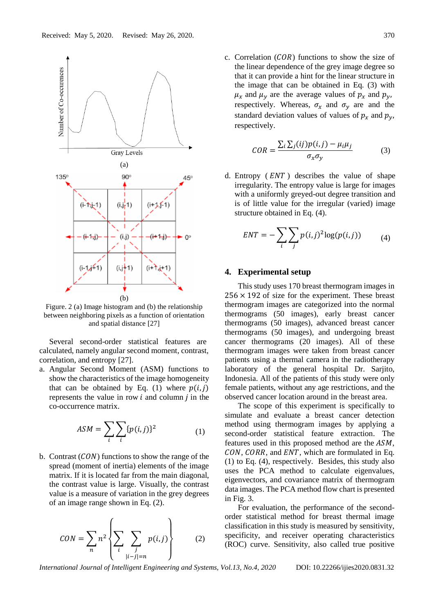

Figure. 2 (a) Image histogram and (b) the relationship between neighboring pixels as a function of orientation and spatial distance [27]

Several second-order statistical features are calculated, namely angular second moment, contrast, correlation, and entropy [27].

a. Angular Second Moment (ASM) functions to show the characteristics of the image homogeneity that can be obtained by Eq. (1) where  $p(i, j)$ represents the value in row  $i$  and column  $j$  in the co-occurrence matrix.

$$
ASM = \sum_{i} \sum_{i} \{p(i,j)\}^2 \tag{1}
$$

b. Contrast  $(CON)$  functions to show the range of the spread (moment of inertia) elements of the image matrix. If it is located far from the main diagonal, the contrast value is large. Visually, the contrast value is a measure of variation in the grey degrees of an image range shown in Eq. (2).

$$
CON = \sum_{n} n^2 \left\{ \sum_{i} \sum_{\substack{j \\ |i-j|=n}} p(i,j) \right\} \qquad (2)
$$

c. Correlation  $(COR)$  functions to show the size of the linear dependence of the grey image degree so that it can provide a hint for the linear structure in the image that can be obtained in Eq. (3) with  $\mu_x$  and  $\mu_y$  are the average values of  $p_x$  and  $p_y$ , respectively. Whereas,  $\sigma_x$  and  $\sigma_y$  are and the standard deviation values of values of  $p_x$  and  $p_y$ , respectively.

$$
COR = \frac{\sum_{i}\sum_{j}(ij)p(i,j) - \mu_{i}\mu_{j}}{\sigma_{x}\sigma_{y}}
$$
(3)

d. Entropy  $(ENT)$  describes the value of shape irregularity. The entropy value is large for images with a uniformly greyed-out degree transition and is of little value for the irregular (varied) image structure obtained in Eq. (4).

$$
ENT = -\sum_{i} \sum_{j} p(i,j)^2 \log(p(i,j)) \tag{4}
$$

### **4. Experimental setup**

This study uses 170 breast thermogram images in  $256 \times 192$  of size for the experiment. These breast thermogram images are categorized into the normal thermograms (50 images), early breast cancer thermograms (50 images), advanced breast cancer thermograms (50 images), and undergoing breast cancer thermograms (20 images). All of these thermogram images were taken from breast cancer patients using a thermal camera in the radiotherapy laboratory of the general hospital Dr. Sarjito, Indonesia. All of the patients of this study were only female patients, without any age restrictions, and the observed cancer location around in the breast area.

The scope of this experiment is specifically to simulate and evaluate a breast cancer detection method using thermogram images by applying a second-order statistical feature extraction. The features used in this proposed method are the  $ASM$ .  $CON, CORR,$  and  $ENT$ , which are formulated in Eq. (1) to Eq. (4), respectively. Besides, this study also uses the PCA method to calculate eigenvalues, eigenvectors, and covariance matrix of thermogram data images. The PCA method flow chart is presented in Fig. 3.

For evaluation, the performance of the secondorder statistical method for breast thermal image classification in this study is measured by sensitivity, specificity, and receiver operating characteristics (ROC) curve. Sensitivity, also called true positive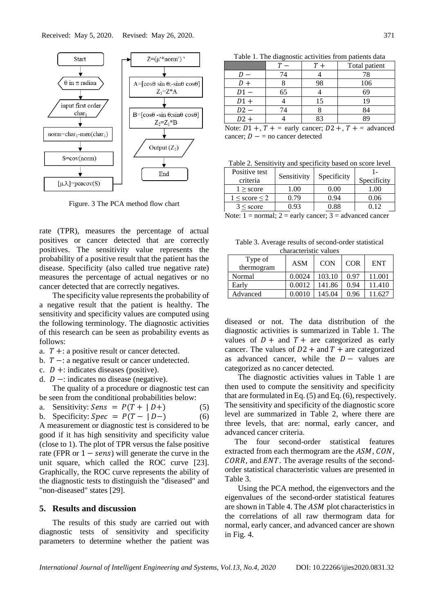

Figure. 3 The PCA method flow chart

rate (TPR), measures the percentage of actual positives or cancer detected that are correctly positives. The sensitivity value represents the probability of a positive result that the patient has the disease. Specificity (also called true negative rate) measures the percentage of actual negatives or no cancer detected that are correctly negatives.

The specificity value represents the probability of a negative result that the patient is healthy. The sensitivity and specificity values are computed using the following terminology. The diagnostic activities of this research can be seen as probability events as follows:

- a.  $T +:$  a positive result or cancer detected.
- b.  $T -$ : a negative result or cancer undetected.
- c.  $D +:$  indicates diseases (positive).
- d.  $D -$ : indicates no disease (negative).

The quality of a procedure or diagnostic test can be seen from the conditional probabilities below:

a. Sensitivity: 
$$
Sens = P(T + | D +)
$$
 (5)

b. Specificity: 
$$
Spec = P(T - | D -)
$$
 (6)

A measurement or diagnostic test is considered to be good if it has high sensitivity and specificity value (close to 1). The plot of TPR versus the false positive rate (FPR or  $1 - sens$ ) will generate the curve in the unit square, which called the ROC curve [23]. Graphically, the ROC curve represents the ability of the diagnostic tests to distinguish the "diseased" and "non-diseased" states [29].

## **5. Results and discussion**

The results of this study are carried out with diagnostic tests of sensitivity and specificity parameters to determine whether the patient was

Table 1. The diagnostic activities from patients data

|        |    |    | Total patient |
|--------|----|----|---------------|
|        | 74 |    | 78            |
|        |    | 98 | 106           |
| $D1 -$ | 65 |    | 69            |
| $D1 +$ |    | 15 | 19            |
| $D2 -$ | 14 |    | 34            |
| $D2 +$ |    |    |               |

Note:  $D1 +$ ,  $T +$  = early cancer;  $D2 +$ ,  $T +$  = advanced cancer;  $D - \equiv$  no cancer detected

Table 2. Sensitivity and specificity based on score level

| Positive test<br>criteria | Sensitivity | Specificity | Specificity |
|---------------------------|-------------|-------------|-------------|
| $1 \geq$ score            | .00         | $0.00\,$    | 1.00        |
| $1 \leq$ score $\leq$ 2   | 0.79        | 0.94        | 0.06        |
| $3 \leq$ score            | ) 93        | 0.88        |             |
| <b>AT. 4</b>              | $\sim$      | $\sim$      |             |

Note:  $1 =$  normal;  $2 =$  early cancer;  $3 =$  advanced cancer

Table 3. Average results of second-order statistical characteristic values

| Type of<br>thermogram | <b>ASM</b> | <b>CON</b> | <b>COR</b> | <b>ENT</b> |
|-----------------------|------------|------------|------------|------------|
| Normal                | 0.0024     | 103.10     | 0.97       | 11.001     |
| Early                 | 0.0012     | 141.86     | 0.94       | 11.410     |
| Advanced              | 0.0010     | 145.04     | 0.96       |            |

diseased or not. The data distribution of the diagnostic activities is summarized in Table 1. The values of  $D +$  and  $T +$  are categorized as early cancer. The values of  $D2 +$  and  $T +$  are categorized as advanced cancer, while the  $D -$  values are categorized as no cancer detected.

The diagnostic activities values in Table 1 are then used to compute the sensitivity and specificity that are formulated in Eq. (5) and Eq. (6), respectively. The sensitivity and specificity of the diagnostic score level are summarized in Table 2, where there are three levels, that are: normal, early cancer, and advanced cancer criteria.

The four second-order statistical features extracted from each thermogram are the  $ASM$ ,  $CON$ .  $CORR$ , and  $ENT$ . The average results of the secondorder statistical characteristic values are presented in Table 3.

Using the PCA method, the eigenvectors and the eigenvalues of the second-order statistical features are shown in Table 4. The  $ASM$  plot characteristics in the correlations of all raw thermogram data for normal, early cancer, and advanced cancer are shown in Fig. 4.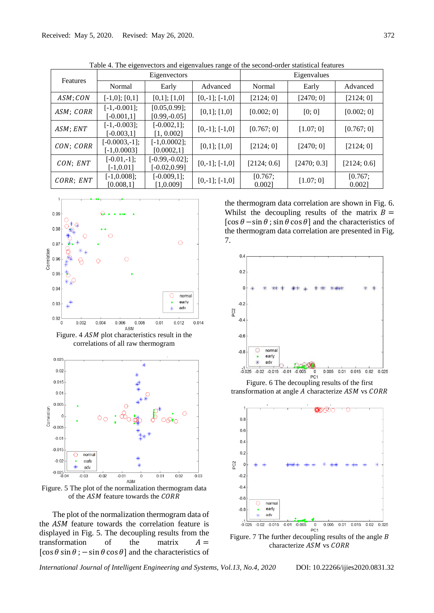| Features  | Eigenvectors                     |                                     |                     | Eigenvalues      |             |                  |  |
|-----------|----------------------------------|-------------------------------------|---------------------|------------------|-------------|------------------|--|
|           | Normal                           | Early                               | Advanced            | Normal           | Early       | Advanced         |  |
| ASM; CON  | $[-1,0]$ ; $[0,1]$               | $[0,1]$ ; $[1,0]$                   | $[0,-1]$ ; $[-1,0]$ | [2124; 0]        | [2470; 0]   | [2124; 0]        |  |
| ASM; CORR | $[-1,-0.001];$<br>$[-0.001,1]$   | [0.05, 0.99];<br>$[0.99,-0.05]$     | $[0,1]$ ; $[1,0]$   | [0.002; 0]       | [0; 0]      | [0.002; 0]       |  |
| ASM; ENT  | $[-1,-0.003];$<br>$[-0.003, 1]$  | $[-0.002, 1];$<br>[1, 0.002]        | $[0,-1]$ ; $[-1,0]$ | [0.767; 0]       | [1.07; 0]   | [0.767; 0]       |  |
| CON; CORR | $[-0.0003,-1];$<br>$[-1,0.0003]$ | $[-1,0.0002];$<br>[0.0002,1]        | $[0,1]$ ; $[1,0]$   | [2124; 0]        | [2470; 0]   | [2124; 0]        |  |
| CON; ENT  | $[-0.01,-1];$<br>$[-1, 0.01]$    | $[-0.99,-0.02];$<br>$[-0.02, 0.99]$ | $[0,-1]$ ; $[-1,0]$ | [2124; 0.6]      | [2470; 0.3] | [2124; 0.6]      |  |
| CORR; ENT | $[-1,0.008];$<br>[0.008,1]       | $[-0.009,1];$<br>[1,0.009]          | $[0,-1]$ ; $[-1,0]$ | [0.767;<br>0.002 | [1.07; 0]   | [0.767;<br>0.002 |  |

Table 4. The eigenvectors and eigenvalues range of the second-order statistical features



Figure.  $4$  ASM plot characteristics result in the correlations of all raw thermogram



Figure. 5 The plot of the normalization thermogram data of the ASM feature towards the CORR

The plot of the normalization thermogram data of the ASM feature towards the correlation feature is displayed in Fig. 5. The decoupling results from the transformation of the matrix  $A =$ [cos  $\theta$  sin  $\theta$ ; – sin  $\theta$  cos  $\theta$ ] and the characteristics of the thermogram data correlation are shown in Fig. 6. Whilst the decoupling results of the matrix  $B =$  $[\cos \theta - \sin \theta$ ;  $\sin \theta \cos \theta]$  and the characteristics of the thermogram data correlation are presented in Fig. 7.



Figure. 6 The decoupling results of the first transformation at angle  $A$  characterize  $ASM$  vs  $CORR$ 



Figure. 7 The further decoupling results of the angle  $B$ characterize ASM vs CORR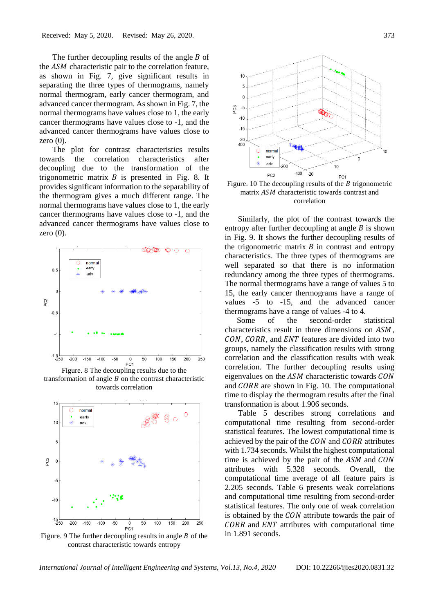The further decoupling results of the angle  $B$  of the  $ASM$  characteristic pair to the correlation feature, as shown in Fig. 7, give significant results in separating the three types of thermograms, namely normal thermogram, early cancer thermogram, and advanced cancer thermogram. As shown in Fig. 7, the normal thermograms have values close to 1, the early cancer thermograms have values close to -1, and the advanced cancer thermograms have values close to zero  $(0)$ .

The plot for contrast characteristics results towards the correlation characteristics after decoupling due to the transformation of the trigonometric matrix  $B$  is presented in Fig. 8. It provides significant information to the separability of the thermogram gives a much different range. The normal thermograms have values close to 1, the early cancer thermograms have values close to -1, and the advanced cancer thermograms have values close to zero (0).



Figure. 8 The decoupling results due to the transformation of angle  $B$  on the contrast characteristic towards correlation



Figure. 9 The further decoupling results in angle  $B$  of the contrast characteristic towards entropy



Figure. 10 The decoupling results of the  $\hat{B}$  trigonometric matrix *ASM* characteristic towards contrast and correlation

Similarly, the plot of the contrast towards the entropy after further decoupling at angle  $B$  is shown in Fig. 9. It shows the further decoupling results of the trigonometric matrix  $\hat{B}$  in contrast and entropy characteristics. The three types of thermograms are well separated so that there is no information redundancy among the three types of thermograms. The normal thermograms have a range of values 5 to 15, the early cancer thermograms have a range of values -5 to -15, and the advanced cancer thermograms have a range of values -4 to 4.

Some of the second-order statistical characteristics result in three dimensions on  $ASM$ . CON, CORR, and ENT features are divided into two groups, namely the classification results with strong correlation and the classification results with weak correlation. The further decoupling results using eigenvalues on the  $ASM$  characteristic towards  $CON$ and  $CORR$  are shown in Fig. 10. The computational time to display the thermogram results after the final transformation is about 1.906 seconds.

Table 5 describes strong correlations and computational time resulting from second-order statistical features. The lowest computational time is achieved by the pair of the  $CON$  and  $CORR$  attributes with 1.734 seconds. Whilst the highest computational time is achieved by the pair of the  $ASM$  and  $CON$ attributes with 5.328 seconds. Overall, the computational time average of all feature pairs is 2.205 seconds. Table 6 presents weak correlations and computational time resulting from second-order statistical features. The only one of weak correlation is obtained by the  $CON$  attribute towards the pair of  $CORR$  and  $ENT$  attributes with computational time in 1.891 seconds.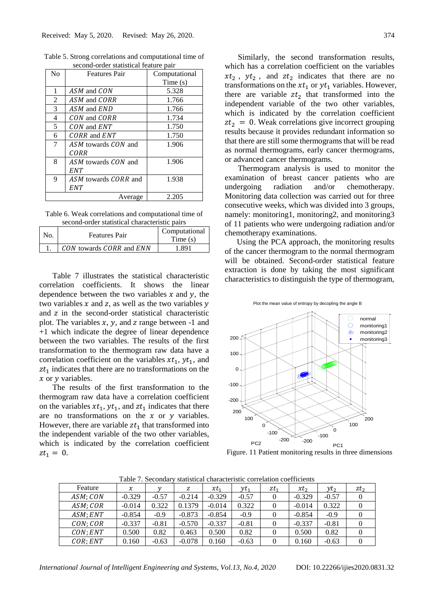| No | <b>Features Pair</b> | Computational |
|----|----------------------|---------------|
|    |                      | Time $(s)$    |
| 1  | ASM and CON          | 5.328         |
| 2  | ASM and CORR         | 1.766         |
| 3  | ASM and END          | 1.766         |
| 4  | CON and CORR         | 1.734         |
| 5  | CON and ENT          | 1.750         |
| 6  | CORR and ENT         | 1.750         |
| 7  | ASM towards CON and  | 1.906         |
|    | CORR                 |               |
| 8  | ASM towards CON and  | 1.906         |
|    | <b>ENT</b>           |               |
| 9  | ASM towards CORR and | 1.938         |
|    | <b>ENT</b>           |               |
|    | Average              | 2.205         |

Table 5. Strong correlations and computational time of second-order statistical feature pair

Table 6. Weak correlations and computational time of second-order statistical characteristic pairs

| second-order statistical characteristic pairs |                          |                          |  |  |  |  |
|-----------------------------------------------|--------------------------|--------------------------|--|--|--|--|
| No.                                           | <b>Features Pair</b>     | Computational<br>Time(s) |  |  |  |  |
|                                               | CON towards CORR and ENN | 1 891                    |  |  |  |  |

Table 7 illustrates the statistical characteristic correlation coefficients. It shows the linear dependence between the two variables  $x$  and  $y$ , the two variables  $x$  and  $z$ , as well as the two variables  $y$ and z in the second-order statistical characteristic plot. The variables  $x$ ,  $y$ , and  $z$  range between -1 and +1 which indicate the degree of linear dependence between the two variables. The results of the first transformation to the thermogram raw data have a correlation coefficient on the variables  $xt_1, yt_1$ , and  $zt_1$  indicates that there are no transformations on the  $x$  or  $y$  variables.

The results of the first transformation to the thermogram raw data have a correlation coefficient on the variables  $xt_1$ ,  $yt_1$ , and  $zt_1$  indicates that there are no transformations on the  $x$  or  $y$  variables. However, there are variable  $zt_1$  that transformed into the independent variable of the two other variables, which is indicated by the correlation coefficient  $zt_1 = 0.$ 

Similarly, the second transformation results, which has a correlation coefficient on the variables  $xt_2$ ,  $yt_2$ , and  $zt_2$  indicates that there are no transformations on the  $xt_1$  or  $yt_1$  variables. However, there are variable  $zt_2$  that transformed into the independent variable of the two other variables, which is indicated by the correlation coefficient  $zt_2 = 0$ . Weak correlations give incorrect grouping results because it provides redundant information so that there are still some thermograms that will be read as normal thermograms, early cancer thermograms, or advanced cancer thermograms.

Thermogram analysis is used to monitor the examination of breast cancer patients who are undergoing radiation and/or chemotherapy. Monitoring data collection was carried out for three consecutive weeks, which was divided into 3 groups, namely: monitoring1, monitoring2, and monitoring3 of 11 patients who were undergoing radiation and/or chemotherapy examinations.

Using the PCA approach, the monitoring results of the cancer thermogram to the normal thermogram will be obtained. Second-order statistical feature extraction is done by taking the most significant characteristics to distinguish the type of thermogram,



Plot the mean value of entropy by decopling the angle B

Figure. 11 Patient monitoring results in three dimensions

| Feature  | $\chi$   |         | z        | $xt_1$   | $y_{t_1}$ | $zt_1$ | $xt_2$   | $y_{t_2}$ | $zt_2$ |
|----------|----------|---------|----------|----------|-----------|--------|----------|-----------|--------|
| ASM; CON | $-0.329$ | $-0.57$ | $-0.214$ | $-0.329$ | $-0.57$   |        | $-0.329$ | $-0.57$   |        |
| ASM; COR | $-0.014$ | 0.322   | 0.1379   | $-0.014$ | 0.322     |        | $-0.014$ | 0.322     |        |
| ASM:ENT  | $-0.854$ | $-0.9$  | $-0.873$ | $-0.854$ | $-0.9$    |        | $-0.854$ | $-0.9$    |        |
| CON; COR | $-0.337$ | $-0.81$ | $-0.570$ | $-0.337$ | $-0.81$   |        | $-0.337$ | $-0.81$   |        |
| CON:ENT  | 0.500    | 0.82    | 0.463    | 0.500    | 0.82      |        | 0.500    | 0.82      |        |
| COR:ENT  | 0.160    | $-0.63$ | $-0.078$ | 0.160    | $-0.63$   |        | 0.160    | $-0.63$   |        |

Table 7. Secondary statistical characteristic correlation coefficients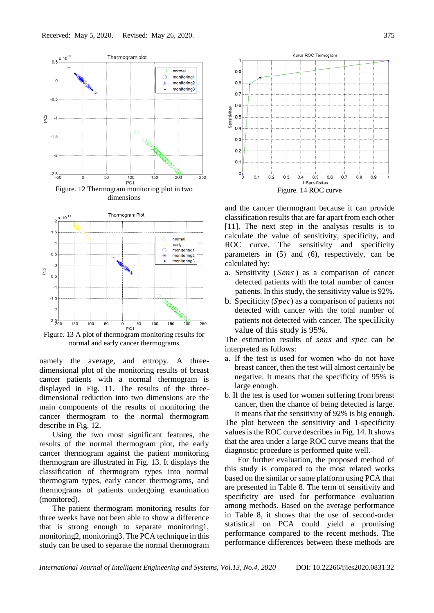

Figure. 13 A plot of thermogram monitoring results for normal and early cancer thermograms

namely the average, and entropy. A threedimensional plot of the monitoring results of breast cancer patients with a normal thermogram is displayed in Fig. 11. The results of the threedimensional reduction into two dimensions are the main components of the results of monitoring the cancer thermogram to the normal thermogram describe in Fig. 12.

Using the two most significant features, the results of the normal thermogram plot, the early cancer thermogram against the patient monitoring thermogram are illustrated in Fig. 13. It displays the classification of thermogram types into normal thermogram types, early cancer thermograms, and thermograms of patients undergoing examination (monitored).

The patient thermogram monitoring results for three weeks have not been able to show a difference that is strong enough to separate monitoring1, monitoring2, monitoring3. The PCA technique in this study can be used to separate the normal thermogram



and the cancer thermogram because it can provide classification results that are far apart from each other [11]. The next step in the analysis results is to calculate the value of sensitivity, specificity, and ROC curve. The sensitivity and specificity parameters in (5) and (6), respectively, can be calculated by:

- a. Sensitivity (Sens) as a comparison of cancer detected patients with the total number of cancer patients. In this study, the sensitivity value is 92%.
- b. Specificity  $(Spec)$  as a comparison of patients not detected with cancer with the total number of patients not detected with cancer. The specificity value of this study is 95%.

The estimation results of sens and spec can be interpreted as follows:

- a. If the test is used for women who do not have breast cancer, then the test will almost certainly be negative. It means that the specificity of 95% is large enough.
- b. If the test is used for women suffering from breast cancer, then the chance of being detected is large. It means that the sensitivity of 92% is big enough.

The plot between the sensitivity and 1-specificity values is the ROC curve describes in Fig. 14. It shows that the area under a large ROC curve means that the diagnostic procedure is performed quite well.

For further evaluation, the proposed method of this study is compared to the most related works based on the similar or same platform using PCA that are presented in Table 8. The term of sensitivity and specificity are used for performance evaluation among methods. Based on the average performance in Table 8, it shows that the use of second-order statistical on PCA could yield a promising performance compared to the recent methods. The performance differences between these methods are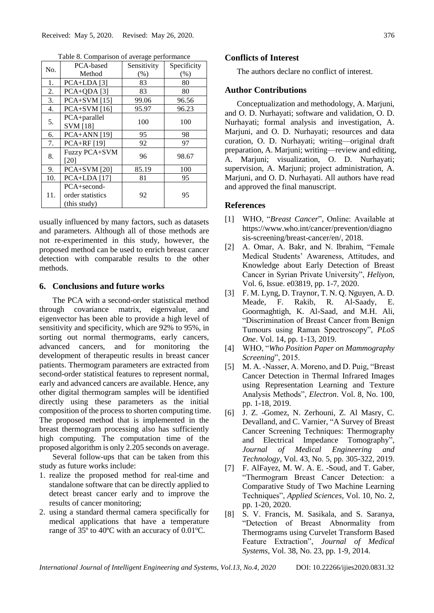| No. | PCA-based                                            | Sensitivity | Specificity |  |
|-----|------------------------------------------------------|-------------|-------------|--|
|     | Method                                               | (% )        | (%)         |  |
| 1.  | $PCA+LDA [3]$                                        | 83          | 80          |  |
| 2.  | $PCA+QDA[3]$                                         | 83          | 80          |  |
| 3.  | <b>PCA+SVM</b> [15]                                  | 99.06       | 96.56       |  |
| 4.  | $PCA+SVM[16]$                                        | 95.97       | 96.23       |  |
| 5.  | PCA+parallel<br><b>SVM</b> [18]                      | 100         | 100         |  |
| 6.  | $PCA+ANN [19]$                                       | 95          | 98          |  |
| 7.  | $PCA+RF[19]$                                         | 92          | 97          |  |
| 8.  | Fuzzy PCA+SVM<br>[20]                                | 96          | 98.67       |  |
| 9.  | $PCA+SVM [20]$                                       | 85.19       | 100         |  |
| 10. | $PCA+LDA$ [17]                                       | 81          | 95          |  |
| 11. | $PCA + second -$<br>order statistics<br>(this study) | 92          | 95          |  |

Table 8. Comparison of average performance

usually influenced by many factors, such as datasets and parameters. Although all of those methods are not re-experimented in this study, however, the proposed method can be used to enrich breast cancer detection with comparable results to the other methods.

### **6. Conclusions and future works**

The PCA with a second-order statistical method through covariance matrix, eigenvalue, and eigenvector has been able to provide a high level of sensitivity and specificity, which are 92% to 95%, in sorting out normal thermograms, early cancers, advanced cancers, and for monitoring the development of therapeutic results in breast cancer patients. Thermogram parameters are extracted from second-order statistical features to represent normal, early and advanced cancers are available. Hence, any other digital thermogram samples will be identified directly using these parameters as the initial composition of the process to shorten computing time. The proposed method that is implemented in the breast thermogram processing also has sufficiently high computing. The computation time of the proposed algorithm is only 2.205 seconds on average.

Several follow-ups that can be taken from this study as future works include:

- 1. realize the proposed method for real-time and standalone software that can be directly applied to detect breast cancer early and to improve the results of cancer monitoring;
- 2. using a standard thermal camera specifically for medical applications that have a temperature range of 35º to 40ºC with an accuracy of 0.01ºC.

### **Conflicts of Interest**

The authors declare no conflict of interest.

#### **Author Contributions**

Conceptualization and methodology, A. Marjuni, and O. D. Nurhayati; software and validation, O. D. Nurhayati; formal analysis and investigation, A. Marjuni, and O. D. Nurhayati; resources and data curation, O. D. Nurhayati; writing—original draft preparation, A. Marjuni; writing—review and editing, A. Marjuni; visualization, O. D. Nurhayati; supervision, A. Marjuni; project administration, A. Marjuni, and O. D. Nurhayati. All authors have read and approved the final manuscript.

## **References**

- [1] WHO, "*Breast Cancer*", Online: Available at https://www.who.int/cancer/prevention/diagno sis-screening/breast-cancer/en/, 2018.
- [2] A. Omar, A. Bakr, and N. Ibrahim, "Female Medical Students' Awareness, Attitudes, and Knowledge about Early Detection of Breast Cancer in Syrian Private University", *Heliyon*, Vol. 6, Issue. e03819, pp. 1-7, 2020.
- [3] F. M. Lyng, D. Traynor, T. N. Q. Nguyen, A. D. Meade, F. Rakib, R. Al-Saady, E. Goormaghtigh, K. Al-Saad, and M.H. Ali, "Discrimination of Breast Cancer from Benign Tumours using Raman Spectroscopy", *PLoS One*. Vol. 14, pp. 1-13, 2019.
- [4] WHO, "*Who Position Paper on Mammography Screening*", 2015.
- [5] M. A. -Nasser, A. Moreno, and D. Puig, "Breast Cancer Detection in Thermal Infrared Images using Representation Learning and Texture Analysis Methods", *Electron*. Vol. 8, No. 100, pp. 1-18, 2019.
- [6] J. Z. -Gomez, N. Zerhouni, Z. Al Masry, C. Devalland, and C. Varnier, "A Survey of Breast Cancer Screening Techniques: Thermography and Electrical Impedance Tomography", *Journal of Medical Engineering and Technology*, Vol. 43, No. 5, pp. 305-322, 2019.
- [7] F. AlFayez, M. W. A. E. -Soud, and T. Gaber, "Thermogram Breast Cancer Detection: a Comparative Study of Two Machine Learning Techniques", *Applied Sciences*, Vol. 10, No. 2, pp. 1-20, 2020.
- [8] S. V. Francis, M. Sasikala, and S. Saranya, "Detection of Breast Abnormality from Thermograms using Curvelet Transform Based Feature Extraction", *Journal of Medical Systems*, Vol. 38, No. 23, pp. 1-9, 2014.